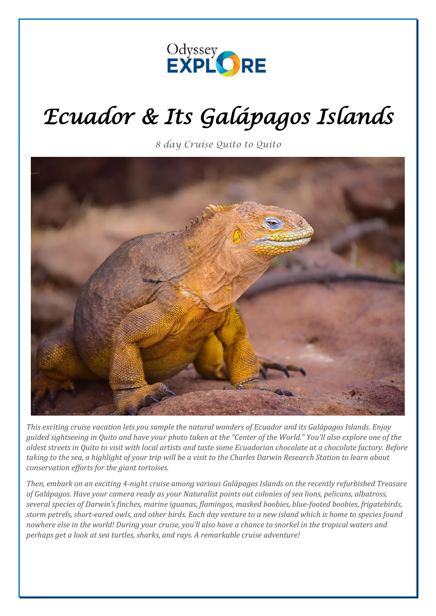

# *Ecuador & Its Galápagos Islands*

*8 day Cruise Quito to Quito*



*This exciting cruise vacation lets you sample the natural wonders of Ecuador and its Galápagos Islands. Enjoy guided sightseeing in Quito and have your photo taken at the "Center of the World." You'll also explore one of the oldest streets in Quito to visit with local artists and taste some Ecuadorian chocolate at a chocolate factory. Before taking to the sea, a highlight of your trip will be a visit to the Charles Darwin Research Station to learn about conservation efforts for the giant tortoises.* 

*Then, embark on an exciting 4-night cruise among various Galápagos Islands on the recently refurbished Treasure of Galápagos. Have your camera ready as your Naturalist points out colonies of sea lions, pelicans, albatross, several species of Darwin's finches, marine iguanas, flamingos, masked boobies, blue-footed boobies, frigatebirds, storm petrels, short-eared owls, and other birds. Each day venture to a new island which is home to species found nowhere else in the world! During your cruise, you'll also have a chance to snorkel in the tropical waters and perhaps get a look at sea turtles, sharks, and rays. A remarkable cruise adventure!*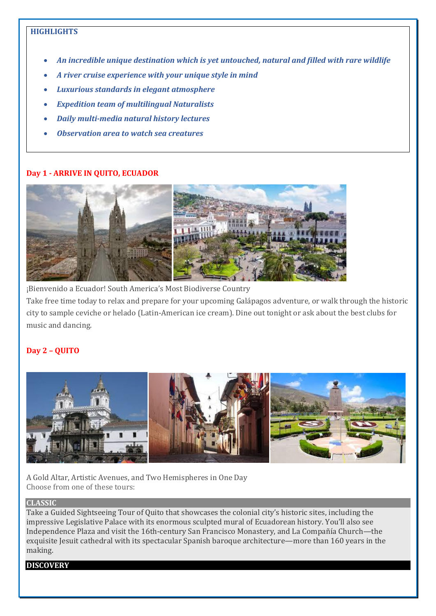## **HIGHLIGHTS**

- *An incredible unique destination which is yet untouched, natural and filled with rare wildlife*
- *A river cruise experience with your unique style in mind*
- *Luxurious standards in elegant atmosphere*
- *Expedition team of multilingual Naturalists*
- *Daily multi-media natural history lectures*
- *Observation area to watch sea creatures*

#### **Day 1 - ARRIVE IN QUITO, ECUADOR**



¡Bienvenido a Ecuador! South America's Most Biodiverse Country

Take free time today to relax and prepare for your upcoming Galápagos adventure, or walk through the historic city to sample ceviche or helado (Latin-American ice cream). Dine out tonight or ask about the best clubs for music and dancing.

## **Day 2 – QUITO**



A Gold Altar, Artistic Avenues, and Two Hemispheres in One Day Choose from one of these tours:

#### **CLASSIC**

Take a Guided Sightseeing Tour of Quito that showcases the colonial city's historic sites, including the impressive Legislative Palace with its enormous sculpted mural of Ecuadorean history. You'll also see Independence Plaza and visit the 16th-century San Francisco Monastery, and La Compañía Church—the exquisite Jesuit cathedral with its spectacular Spanish baroque architecture—more than 160 years in the making.

#### **DISCOVERY**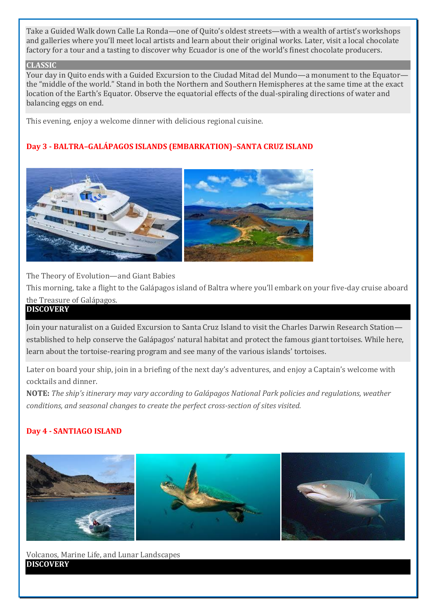Take a Guided Walk down Calle La Ronda—one of Quito's oldest streets—with a wealth of artist's workshops and galleries where you'll meet local artists and learn about their original works. Later, visit a local chocolate factory for a tour and a tasting to discover why Ecuador is one of the world's finest chocolate producers.

#### **CLASSIC**

Your day in Quito ends with a Guided Excursion to the Ciudad Mitad del Mundo—a monument to the Equator the "middle of the world." Stand in both the Northern and Southern Hemispheres at the same time at the exact location of the Earth's Equator. Observe the equatorial effects of the dual-spiraling directions of water and balancing eggs on end.

This evening, enjoy a welcome dinner with delicious regional cuisine.

# **Day 3 - BALTRA–GALÁPAGOS ISLANDS (EMBARKATION)–SANTA CRUZ ISLAND**



The Theory of Evolution—and Giant Babies

This morning, take a flight to the Galápagos island of Baltra where you'll embark on your five-day cruise aboard the Treasure of Galápagos.

## **DISCOVERY**

Join your naturalist on a Guided Excursion to Santa Cruz Island to visit the Charles Darwin Research Station established to help conserve the Galápagos' natural habitat and protect the famous giant tortoises. While here, learn about the tortoise-rearing program and see many of the various islands' tortoises.

Later on board your ship, join in a briefing of the next day's adventures, and enjoy a Captain's welcome with cocktails and dinner.

**NOTE:** *The ship's itinerary may vary according to Galápagos National Park policies and regulations, weather conditions, and seasonal changes to create the perfect cross-section of sites visited.*

## **Day 4 - SANTIAGO ISLAND**



Volcanos, Marine Life, and Lunar Landscapes **DISCOVERY**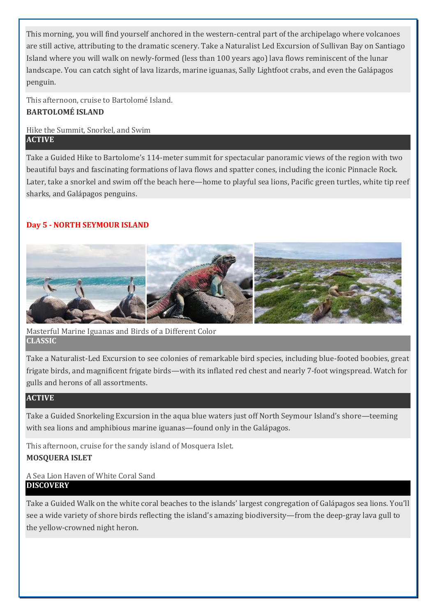This morning, you will find yourself anchored in the western-central part of the archipelago where volcanoes are still active, attributing to the dramatic scenery. Take a Naturalist Led Excursion of Sullivan Bay on Santiago Island where you will walk on newly-formed (less than 100 years ago) lava flows reminiscent of the lunar landscape. You can catch sight of lava lizards, marine iguanas, Sally Lightfoot crabs, and even the Galápagos penguin.

This afternoon, cruise to Bartolomé Island. **BARTOLOMÉ ISLAND**

## Hike the Summit, Snorkel, and Swim **ACTIVE**

Take a Guided Hike to Bartolome's 114-meter summit for spectacular panoramic views of the region with two beautiful bays and fascinating formations of lava flows and spatter cones, including the iconic Pinnacle Rock. Later, take a snorkel and swim off the beach here—home to playful sea lions, Pacific green turtles, white tip reef sharks, and Galápagos penguins.

# **Day 5 - NORTH SEYMOUR ISLAND**



Masterful Marine Iguanas and Birds of a Different Color **CLASSIC**

Take a Naturalist-Led Excursion to see colonies of remarkable bird species, including blue-footed boobies, great frigate birds, and magnificent frigate birds—with its inflated red chest and nearly 7-foot wingspread. Watch for gulls and herons of all assortments.

## **ACTIVE**

Take a Guided Snorkeling Excursion in the aqua blue waters just off North Seymour Island's shore—teeming with sea lions and amphibious marine iguanas—found only in the Galápagos.

This afternoon, cruise for the sandy island of Mosquera Islet. **MOSQUERA ISLET**

## A Sea Lion Haven of White Coral Sand **DISCOVERY**

Take a Guided Walk on the white coral beaches to the islands' largest congregation of Galápagos sea lions. You'll see a wide variety of shore birds reflecting the island's amazing biodiversity—from the deep-gray lava gull to the yellow-crowned night heron.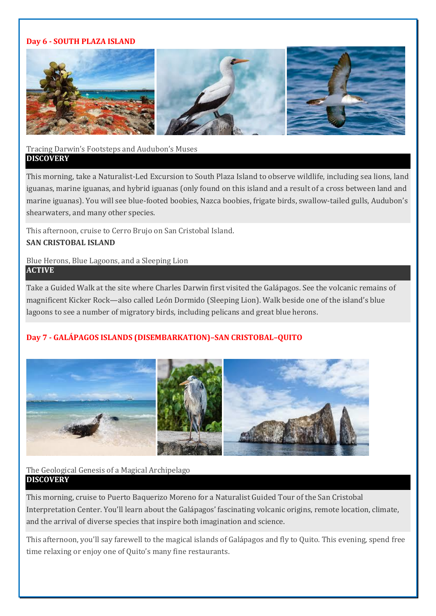#### **Day 6 - SOUTH PLAZA ISLAND**



## Tracing Darwin's Footsteps and Audubon's Muses **DISCOVERY**

This morning, take a Naturalist-Led Excursion to South Plaza Island to observe wildlife, including sea lions, land iguanas, marine iguanas, and hybrid iguanas (only found on this island and a result of a cross between land and marine iguanas). You will see blue-footed boobies, Nazca boobies, frigate birds, swallow-tailed gulls, Audubon's shearwaters, and many other species.

This afternoon, cruise to Cerro Brujo on San Cristobal Island.

## **SAN CRISTOBAL ISLAND**

#### Blue Herons, Blue Lagoons, and a Sleeping Lion **ACTIVE**

Take a Guided Walk at the site where Charles Darwin first visited the Galápagos. See the volcanic remains of magnificent Kicker Rock—also called León Dormido (Sleeping Lion). Walk beside one of the island's blue lagoons to see a number of migratory birds, including pelicans and great blue herons.

# **Day 7 - GALÁPAGOS ISLANDS (DISEMBARKATION)–SAN CRISTOBAL–QUITO**



## The Geological Genesis of a Magical Archipelago **DISCOVERY**

This morning, cruise to Puerto Baquerizo Moreno for a Naturalist Guided Tour of the San Cristobal Interpretation Center. You'll learn about the Galápagos' fascinating volcanic origins, remote location, climate, and the arrival of diverse species that inspire both imagination and science.

This afternoon, you'll say farewell to the magical islands of Galápagos and fly to Quito. This evening, spend free time relaxing or enjoy one of Quito's many fine restaurants.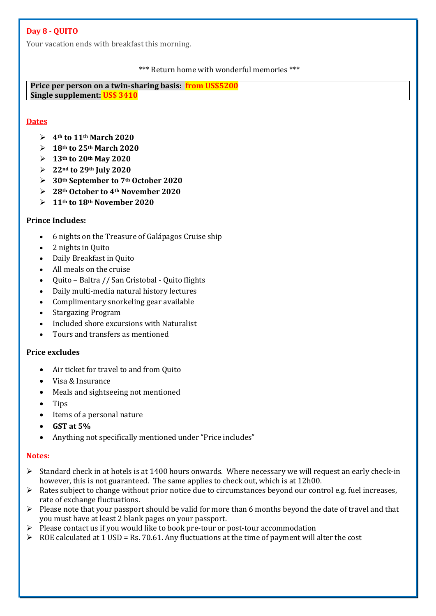## **Day 8 - QUITO**

Your vacation ends with breakfast this morning.

#### \*\*\* Return home with wonderful memories \*\*\*

**Price per person on a twin-sharing basis: from US\$5200 Single supplement: US\$ 3410**

## **Dates**

- ➢ **4th to 11th March 2020**
- ➢ **18th to 25th March 2020**
- ➢ **13th to 20th May 2020**
- ➢ **22nd to 29th July 2020**
- ➢ **30th September to 7th October 2020**
- ➢ **28th October to 4th November 2020**
- ➢ **11th to 18th November 2020**

## **Prince Includes:**

- 6 nights on the Treasure of Galápagos Cruise ship
- 2 nights in Quito
- Daily Breakfast in Quito
- All meals on the cruise
- Quito Baltra // San Cristobal Quito flights
- Daily multi-media natural history lectures
- Complimentary snorkeling gear available
- Stargazing Program
- Included shore excursions with Naturalist
- Tours and transfers as mentioned

## **Price excludes**

- Air ticket for travel to and from Quito
- Visa & Insurance
- Meals and sightseeing not mentioned
- Tips
- Items of a personal nature
- **GST at 5%**
- Anything not specifically mentioned under "Price includes"

## **Notes:**

- $\triangleright$  Standard check in at hotels is at 1400 hours onwards. Where necessary we will request an early check-in however, this is not guaranteed. The same applies to check out, which is at 12h00.
- ➢ Rates subject to change without prior notice due to circumstances beyond our control e.g. fuel increases, rate of exchange fluctuations.
- $\triangleright$  Please note that your passport should be valid for more than 6 months beyond the date of travel and that you must have at least 2 blank pages on your passport.
- ➢ Please contact us if you would like to book pre-tour or post-tour accommodation
- $\triangleright$  ROE calculated at 1 USD = Rs. 70.61. Any fluctuations at the time of payment will alter the cost